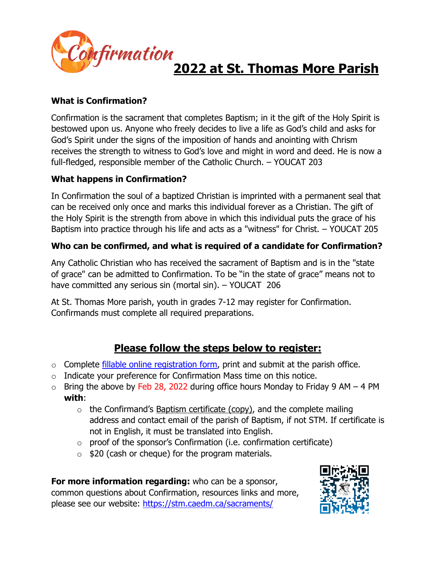

# **2022 at St. Thomas More Parish**

#### **What is Confirmation?**

Confirmation is the sacrament that completes Baptism; in it the gift of the Holy Spirit is bestowed upon us. Anyone who freely decides to live a life as God's child and asks for God's Spirit under the signs of the imposition of hands and anointing with Chrism receives the strength to witness to God's love and might in word and deed. He is now a full-fledged, responsible member of the Catholic Church. – YOUCAT 203

#### **What happens in Confirmation?**

In Confirmation the soul of a baptized Christian is imprinted with a permanent seal that can be received only once and marks this individual forever as a Christian. The gift of the Holy Spirit is the strength from above in which this individual puts the grace of his Baptism into practice through his life and acts as a "witness" for Christ. – YOUCAT 205

#### **Who can be confirmed, and what is required of a candidate for Confirmation?**

Any Catholic Christian who has received the sacrament of Baptism and is in the "state of grace" can be admitted to Confirmation. To be "in the state of grace" means not to have committed any serious sin (mortal sin). – YOUCAT 206

At St. Thomas More parish, youth in grades 7-12 may register for Confirmation. Confirmands must complete all required preparations.

### **Please follow the steps below to register:**

- o Complete [fillable online registration form,](https://caedm.ca/wp-content/uploads/2019/12/611A_eConfirmationForm28Feb18.pdf?ver=2018-03-01-141143-050) print and submit at the parish office.
- $\circ$  Indicate your preference for Confirmation Mass time on this notice.
- $\circ$  Bring the above by Feb 28, 2022 during office hours Monday to Friday 9 AM 4 PM **with**:
	- $\circ$  the Confirmand's Baptism certificate (copy), and the complete mailing address and contact email of the parish of Baptism, if not STM. If certificate is not in English, it must be translated into English.
	- $\circ$  proof of the sponsor's Confirmation (i.e. confirmation certificate)
	- $\circ$  \$20 (cash or cheque) for the program materials.

**For more information regarding:** who can be a sponsor, common questions about Confirmation, resources links and more, please see our website:<https://stm.caedm.ca/sacraments/>